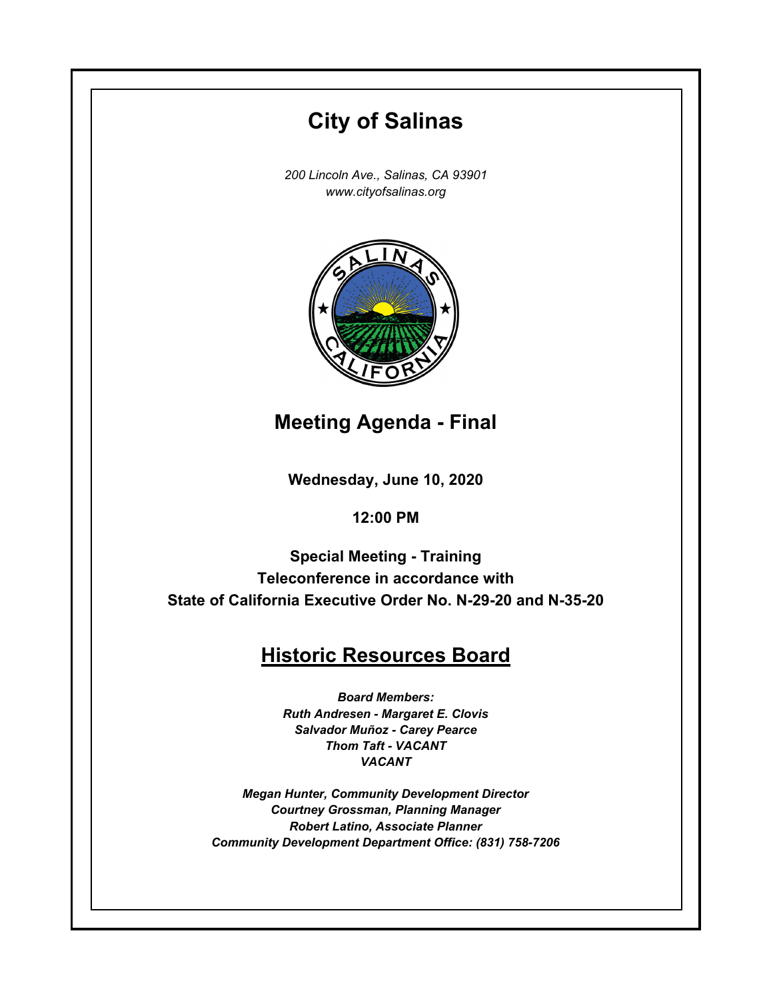# **Wednesday, June 10, 2020 12:00 PM City of Salinas** *200 Lincoln Ave., Salinas, CA 93901 www.cityofsalinas.org* **Historic Resources Board** *Board Members: Ruth Andresen - Margaret E. Clovis Salvador Muñoz - Carey Pearce Thom Taft - VACANT VACANT Megan Hunter, Community Development Director Courtney Grossman, Planning Manager Robert Latino, Associate Planner Community Development Department Office: (831) 758-7206* **Meeting Agenda - Final Special Meeting - Training Teleconference in accordance with State of California Executive Order No. N-29-20 and N-35-20**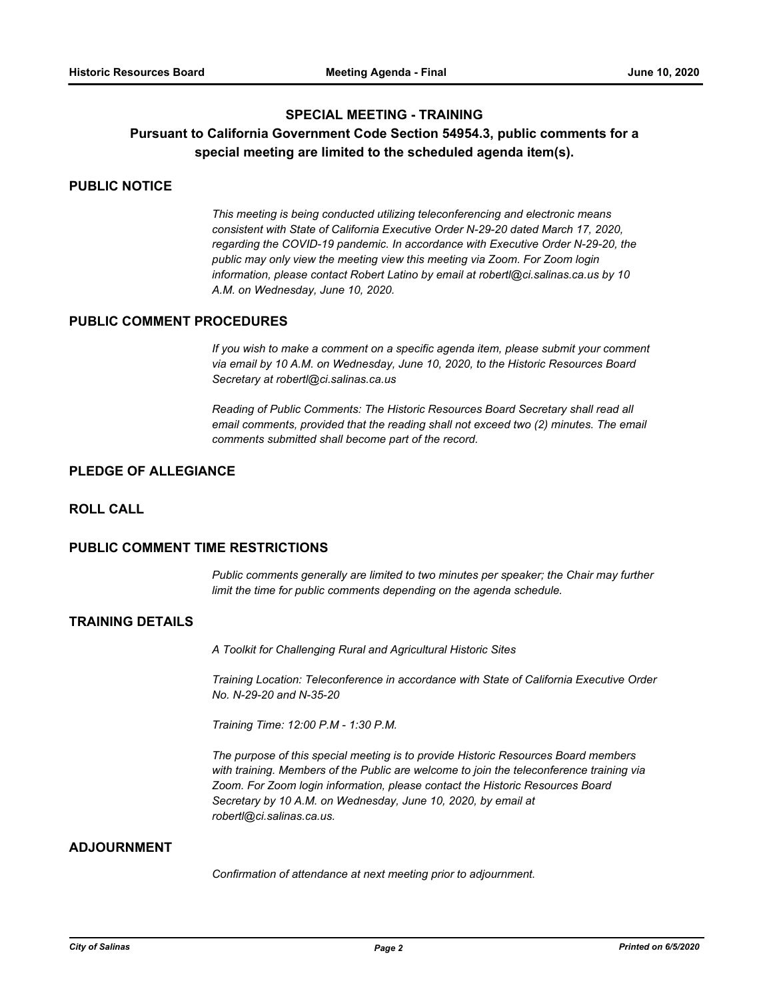## **SPECIAL MEETING - TRAINING**

# **Pursuant to California Government Code Section 54954.3, public comments for a special meeting are limited to the scheduled agenda item(s).**

#### **PUBLIC NOTICE**

*This meeting is being conducted utilizing teleconferencing and electronic means consistent with State of California Executive Order N-29-20 dated March 17, 2020, regarding the COVID-19 pandemic. In accordance with Executive Order N-29-20, the public may only view the meeting view this meeting via Zoom. For Zoom login information, please contact Robert Latino by email at robertl@ci.salinas.ca.us by 10 A.M. on Wednesday, June 10, 2020.*

#### **PUBLIC COMMENT PROCEDURES**

*If you wish to make a comment on a specific agenda item, please submit your comment via email by 10 A.M. on Wednesday, June 10, 2020, to the Historic Resources Board Secretary at robertl@ci.salinas.ca.us*

*Reading of Public Comments: The Historic Resources Board Secretary shall read all email comments, provided that the reading shall not exceed two (2) minutes. The email comments submitted shall become part of the record.*

#### **PLEDGE OF ALLEGIANCE**

#### **ROLL CALL**

#### **PUBLIC COMMENT TIME RESTRICTIONS**

*Public comments generally are limited to two minutes per speaker; the Chair may further limit the time for public comments depending on the agenda schedule.*

### **TRAINING DETAILS**

*A Toolkit for Challenging Rural and Agricultural Historic Sites*

*Training Location: Teleconference in accordance with State of California Executive Order No. N-29-20 and N-35-20*

*Training Time: 12:00 P.M - 1:30 P.M.* 

*The purpose of this special meeting is to provide Historic Resources Board members with training. Members of the Public are welcome to join the teleconference training via Zoom. For Zoom login information, please contact the Historic Resources Board Secretary by 10 A.M. on Wednesday, June 10, 2020, by email at robertl@ci.salinas.ca.us.*

## **ADJOURNMENT**

*Confirmation of attendance at next meeting prior to adjournment.*